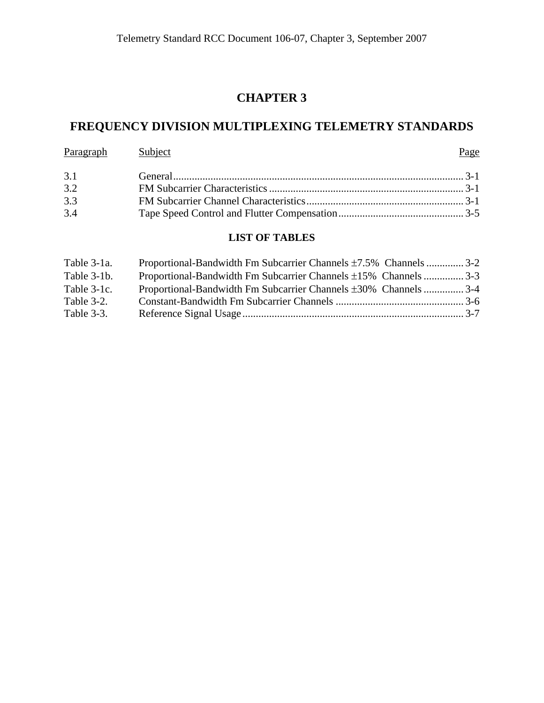# **CHAPTER 3**

# **FREQUENCY DIVISION MULTIPLEXING TELEMETRY STANDARDS**

| Paragraph Subject | Page |
|-------------------|------|
| 3.1               |      |
| 3.2               |      |
| 3.3               |      |
| 3.4               |      |

## **LIST OF TABLES**

| Table 3-1a. | Proportional-Bandwidth Fm Subcarrier Channels ±7.5% Channels  3-2 |  |
|-------------|-------------------------------------------------------------------|--|
| Table 3-1b. | Proportional-Bandwidth Fm Subcarrier Channels ±15% Channels  3-3  |  |
| Table 3-1c. | Proportional-Bandwidth Fm Subcarrier Channels ±30% Channels  3-4  |  |
| Table 3-2.  |                                                                   |  |
| Table 3-3.  |                                                                   |  |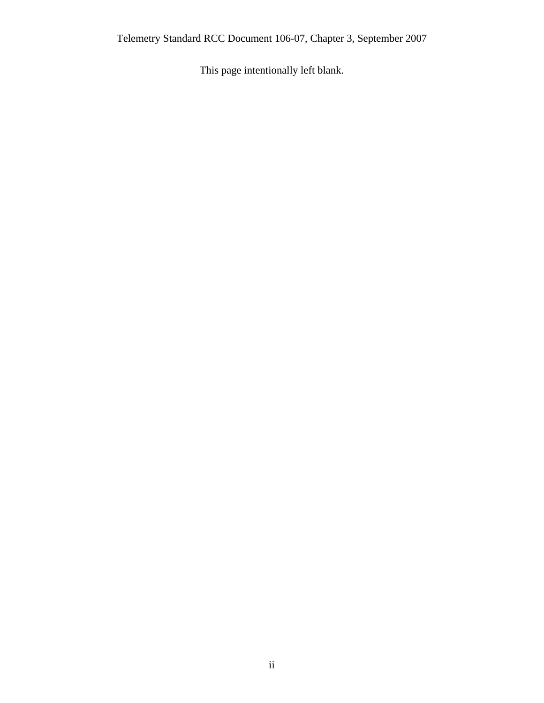This page intentionally left blank.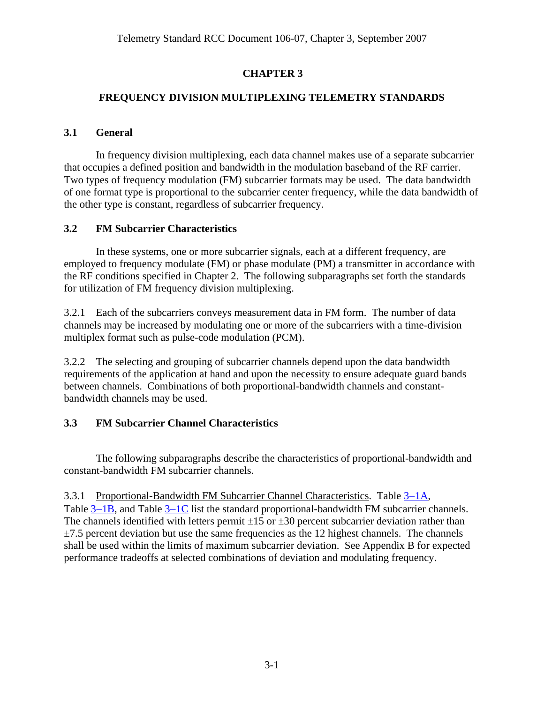# **CHAPTER 3**

## <span id="page-2-0"></span>**FREQUENCY DIVISION MULTIPLEXING TELEMETRY STANDARDS**

#### **3.1 General**

 In frequency division multiplexing, each data channel makes use of a separate subcarrier that occupies a defined position and bandwidth in the modulation baseband of the RF carrier. Two types of frequency modulation (FM) subcarrier formats may be used. The data bandwidth of one format type is proportional to the subcarrier center frequency, while the data bandwidth of the other type is constant, regardless of subcarrier frequency.

#### **3.2 FM Subcarrier Characteristics**

 In these systems, one or more subcarrier signals, each at a different frequency, are employed to frequency modulate (FM) or phase modulate (PM) a transmitter in accordance with the RF conditions specified in Chapter 2. The following subparagraphs set forth the standards for utilization of FM frequency division multiplexing.

3.2.1 Each of the subcarriers conveys measurement data in FM form. The number of data channels may be increased by modulating one or more of the subcarriers with a time-division multiplex format such as pulse-code modulation (PCM).

3.2.2 The selecting and grouping of subcarrier channels depend upon the data bandwidth requirements of the application at hand and upon the necessity to ensure adequate guard bands between channels. Combinations of both proportional-bandwidth channels and constantbandwidth channels may be used.

## **3.3 FM Subcarrier Channel Characteristics**

 The following subparagraphs describe the characteristics of proportional-bandwidth and constant-bandwidth FM subcarrier channels.

3.3.1 Proportional-Bandwidth FM Subcarrier Channel Characteristics. Table 3−[1A,](#page-3-0) Table 3–[1B,](#page-4-0) and Table 3–[1C](#page-5-0) list the standard proportional-bandwidth FM subcarrier channels. The channels identified with letters permit  $\pm 15$  or  $\pm 30$  percent subcarrier deviation rather than  $\pm$ 7.5 percent deviation but use the same frequencies as the 12 highest channels. The channels shall be used within the limits of maximum subcarrier deviation. See Appendix B for expected performance tradeoffs at selected combinations of deviation and modulating frequency.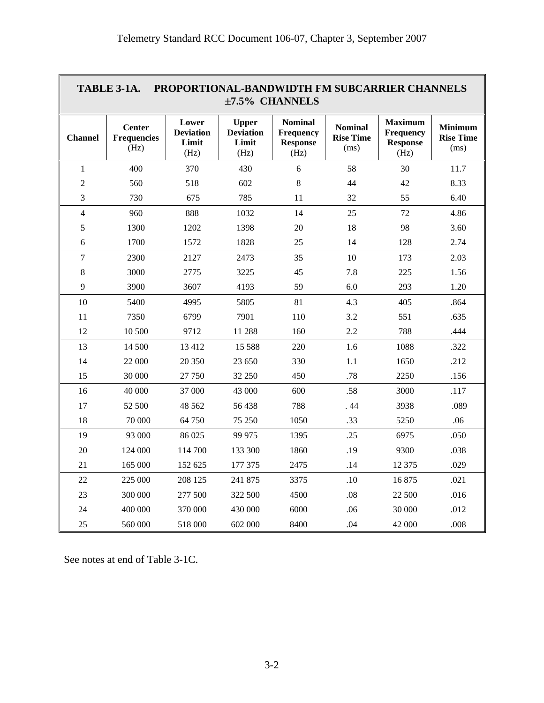<span id="page-3-0"></span>

| TABLE 3-1A.<br>PROPORTIONAL-BANDWIDTH FM SUBCARRIER CHANNELS<br>±7.5% CHANNELS |                                             |                                            |                                                   |                                                               |                                            |                                                        |                                            |  |
|--------------------------------------------------------------------------------|---------------------------------------------|--------------------------------------------|---------------------------------------------------|---------------------------------------------------------------|--------------------------------------------|--------------------------------------------------------|--------------------------------------------|--|
| <b>Channel</b>                                                                 | <b>Center</b><br><b>Frequencies</b><br>(Hz) | Lower<br><b>Deviation</b><br>Limit<br>(Hz) | <b>Upper</b><br><b>Deviation</b><br>Limit<br>(Hz) | <b>Nominal</b><br><b>Frequency</b><br><b>Response</b><br>(Hz) | <b>Nominal</b><br><b>Rise Time</b><br>(ms) | <b>Maximum</b><br>Frequency<br><b>Response</b><br>(Hz) | <b>Minimum</b><br><b>Rise Time</b><br>(ms) |  |
| $\mathbf{1}$                                                                   | 400                                         | 370                                        | 430                                               | 6                                                             | 58                                         | 30                                                     | 11.7                                       |  |
| $\overline{2}$                                                                 | 560                                         | 518                                        | 602                                               | 8                                                             | 44                                         | 42                                                     | 8.33                                       |  |
| 3                                                                              | 730                                         | 675                                        | 785                                               | 11                                                            | 32                                         | 55                                                     | 6.40                                       |  |
| $\overline{4}$                                                                 | 960                                         | 888                                        | 1032                                              | 14                                                            | 25                                         | 72                                                     | 4.86                                       |  |
| 5                                                                              | 1300                                        | 1202                                       | 1398                                              | 20                                                            | 18                                         | 98                                                     | 3.60                                       |  |
| 6                                                                              | 1700                                        | 1572                                       | 1828                                              | 25                                                            | 14                                         | 128                                                    | 2.74                                       |  |
| $\overline{7}$                                                                 | 2300                                        | 2127                                       | 2473                                              | 35                                                            | 10                                         | 173                                                    | 2.03                                       |  |
| $\,8\,$                                                                        | 3000                                        | 2775                                       | 3225                                              | 45                                                            | 7.8                                        | 225                                                    | 1.56                                       |  |
| 9                                                                              | 3900                                        | 3607                                       | 4193                                              | 59                                                            | 6.0                                        | 293                                                    | 1.20                                       |  |
| 10                                                                             | 5400                                        | 4995                                       | 5805                                              | 81                                                            | 4.3                                        | 405                                                    | .864                                       |  |
| 11                                                                             | 7350                                        | 6799                                       | 7901                                              | 110                                                           | 3.2                                        | 551                                                    | .635                                       |  |
| 12                                                                             | 10 500                                      | 9712                                       | 11 288                                            | 160                                                           | 2.2                                        | 788                                                    | .444                                       |  |
| 13                                                                             | 14 500                                      | 13412                                      | 15 5 8 8                                          | 220                                                           | 1.6                                        | 1088                                                   | .322                                       |  |
| 14                                                                             | 22 000                                      | 20 350                                     | 23 650                                            | 330                                                           | 1.1                                        | 1650                                                   | .212                                       |  |
| 15                                                                             | 30 000                                      | 27 750                                     | 32 250                                            | 450                                                           | .78                                        | 2250                                                   | .156                                       |  |
| 16                                                                             | 40 000                                      | 37 000                                     | 43 000                                            | 600                                                           | .58                                        | 3000                                                   | .117                                       |  |
| 17                                                                             | 52 500                                      | 48 5 62                                    | 56438                                             | 788                                                           | .44                                        | 3938                                                   | .089                                       |  |
| 18                                                                             | 70 000                                      | 64 750                                     | 75 250                                            | 1050                                                          | .33                                        | 5250                                                   | .06                                        |  |
| 19                                                                             | 93 000                                      | 86 025                                     | 99 975                                            | 1395                                                          | .25                                        | 6975                                                   | .050                                       |  |
| 20                                                                             | 124 000                                     | 114 700                                    | 133 300                                           | 1860                                                          | .19                                        | 9300                                                   | .038                                       |  |
| 21                                                                             | 165 000                                     | 152 625                                    | 177 375                                           | 2475                                                          | .14                                        | 12 375                                                 | .029                                       |  |
| 22                                                                             | 225 000                                     | 208 125                                    | 241 875                                           | 3375                                                          | .10                                        | 16875                                                  | .021                                       |  |
| 23                                                                             | 300 000                                     | 277 500                                    | 322 500                                           | 4500                                                          | .08                                        | 22 500                                                 | .016                                       |  |
| 24                                                                             | 400 000                                     | 370 000                                    | 430 000                                           | 6000                                                          | .06                                        | 30 000                                                 | .012                                       |  |
| 25                                                                             | 560 000                                     | 518 000                                    | 602 000                                           | 8400                                                          | .04                                        | 42 000                                                 | .008                                       |  |

See notes at end of Table 3-1C.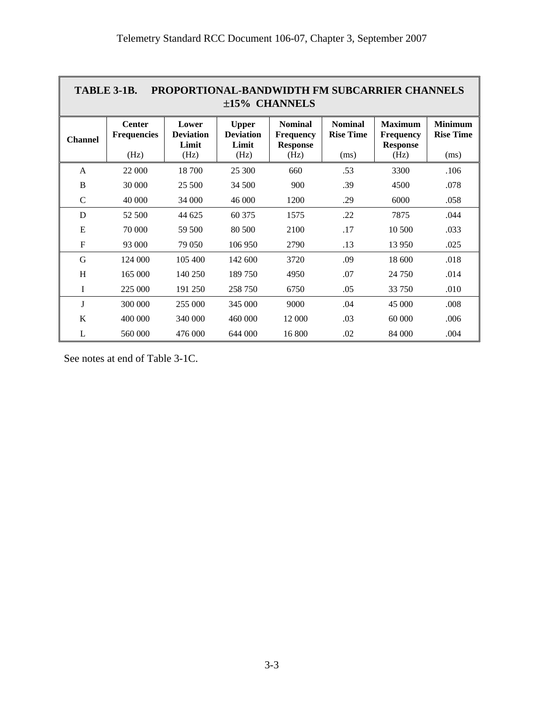<span id="page-4-0"></span>

| <b>PROPORTIONAL-BANDWIDTH FM SUBCARRIER CHANNELS</b><br><b>TABLE 3-1B.</b><br>±15% CHANNELS |                                             |                                            |                                                   |                                                               |                                            |                                                               |                                            |  |
|---------------------------------------------------------------------------------------------|---------------------------------------------|--------------------------------------------|---------------------------------------------------|---------------------------------------------------------------|--------------------------------------------|---------------------------------------------------------------|--------------------------------------------|--|
| <b>Channel</b>                                                                              | <b>Center</b><br><b>Frequencies</b><br>(Hz) | Lower<br><b>Deviation</b><br>Limit<br>(Hz) | <b>Upper</b><br><b>Deviation</b><br>Limit<br>(Hz) | <b>Nominal</b><br><b>Frequency</b><br><b>Response</b><br>(Hz) | <b>Nominal</b><br><b>Rise Time</b><br>(ms) | <b>Maximum</b><br><b>Frequency</b><br><b>Response</b><br>(Hz) | <b>Minimum</b><br><b>Rise Time</b><br>(ms) |  |
| A                                                                                           | 22 000                                      | 18 700                                     | 25 300                                            | 660                                                           | .53                                        | 3300                                                          | .106                                       |  |
| B                                                                                           | 30 000                                      | 25 500                                     | 34 500                                            | 900                                                           | .39                                        | 4500                                                          | .078                                       |  |
| $\mathsf{C}$                                                                                | 40 000                                      | 34 000                                     | 46 000                                            | 1200                                                          | .29                                        | 6000                                                          | .058                                       |  |
| D                                                                                           | 52 500                                      | 44 625                                     | 60 375                                            | 1575                                                          | .22                                        | 7875                                                          | .044                                       |  |
| E                                                                                           | 70 000                                      | 59 500                                     | 80 500                                            | 2100                                                          | .17                                        | 10 500                                                        | .033                                       |  |
| $\mathbf{F}$                                                                                | 93 000                                      | 79 050                                     | 106 950                                           | 2790                                                          | .13                                        | 13 950                                                        | .025                                       |  |
| G                                                                                           | 124 000                                     | 105 400                                    | 142 600                                           | 3720                                                          | .09                                        | 18 600                                                        | .018                                       |  |
| H                                                                                           | 165 000                                     | 140 250                                    | 189750                                            | 4950                                                          | .07                                        | 24 750                                                        | .014                                       |  |
| I                                                                                           | 225 000                                     | 191 250                                    | 258 750                                           | 6750                                                          | .05                                        | 33 750                                                        | .010                                       |  |
| J                                                                                           | 300 000                                     | 255 000                                    | 345 000                                           | 9000                                                          | .04                                        | 45 000                                                        | .008                                       |  |
| K                                                                                           | 400 000                                     | 340 000                                    | 460 000                                           | 12 000                                                        | .03                                        | 60 000                                                        | .006                                       |  |
| L                                                                                           | 560 000                                     | 476 000                                    | 644 000                                           | 16 800                                                        | .02                                        | 84 000                                                        | .004                                       |  |

See notes at end of Table 3-1C.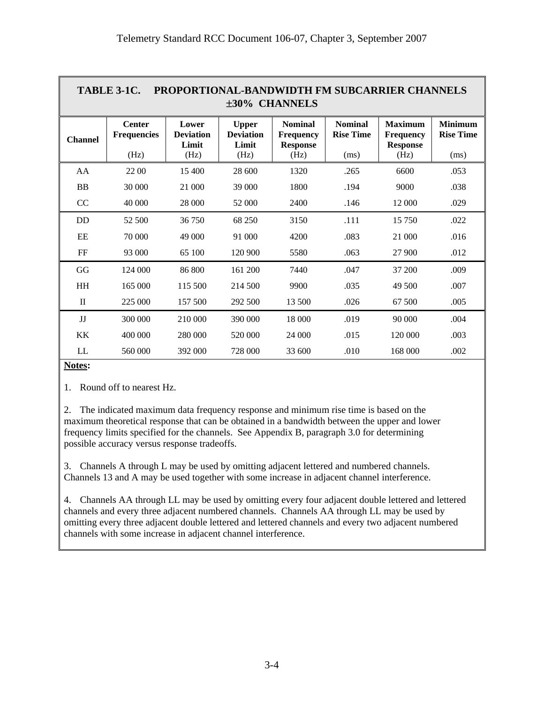<span id="page-5-0"></span>

| <b>TABLE 3-1C.</b><br><b>PROPORTIONAL-BANDWIDTH FM SUBCARRIER CHANNELS</b><br>±30% CHANNELS |                                             |                                            |                                                   |                                                               |                                            |                                                               |                                            |  |
|---------------------------------------------------------------------------------------------|---------------------------------------------|--------------------------------------------|---------------------------------------------------|---------------------------------------------------------------|--------------------------------------------|---------------------------------------------------------------|--------------------------------------------|--|
| <b>Channel</b>                                                                              | <b>Center</b><br><b>Frequencies</b><br>(Hz) | Lower<br><b>Deviation</b><br>Limit<br>(Hz) | <b>Upper</b><br><b>Deviation</b><br>Limit<br>(Hz) | <b>Nominal</b><br><b>Frequency</b><br><b>Response</b><br>(Hz) | <b>Nominal</b><br><b>Rise Time</b><br>(ms) | <b>Maximum</b><br><b>Frequency</b><br><b>Response</b><br>(Hz) | <b>Minimum</b><br><b>Rise Time</b><br>(ms) |  |
| AA                                                                                          | 22 00                                       | 15 400                                     | 28 600                                            | 1320                                                          | .265                                       | 6600                                                          | .053                                       |  |
| <b>BB</b>                                                                                   | 30 000                                      | 21 000                                     | 39 000                                            | 1800                                                          | .194                                       | 9000                                                          | .038                                       |  |
| <sub>CC</sub>                                                                               | 40 000                                      | 28 000                                     | 52 000                                            | 2400                                                          | .146                                       | 12 000                                                        | .029                                       |  |
| DD                                                                                          | 52 500                                      | 36 750                                     | 68 250                                            | 3150                                                          | .111                                       | 15 750                                                        | .022                                       |  |
| EE                                                                                          | 70 000                                      | 49 000                                     | 91 000                                            | 4200                                                          | .083                                       | 21 000                                                        | .016                                       |  |
| FF                                                                                          | 93 000                                      | 65 100                                     | 120 900                                           | 5580                                                          | .063                                       | 27 900                                                        | .012                                       |  |
| GG                                                                                          | 124 000                                     | 86 800                                     | 161 200                                           | 7440                                                          | .047                                       | 37 200                                                        | .009                                       |  |
| <b>HH</b>                                                                                   | 165 000                                     | 115 500                                    | 214 500                                           | 9900                                                          | .035                                       | 49 500                                                        | .007                                       |  |
| $\mathbf{I}$                                                                                | 225 000                                     | 157 500                                    | 292 500                                           | 13 500                                                        | .026                                       | 67 500                                                        | .005                                       |  |
| IJ                                                                                          | 300 000                                     | 210 000                                    | 390 000                                           | 18 000                                                        | .019                                       | 90 000                                                        | .004                                       |  |
| KK                                                                                          | 400 000                                     | 280 000                                    | 520 000                                           | 24 000                                                        | .015                                       | 120 000                                                       | .003                                       |  |
| LL                                                                                          | 560 000                                     | 392 000                                    | 728 000                                           | 33 600                                                        | .010                                       | 168 000                                                       | .002                                       |  |

**Notes:** 

1. Round off to nearest Hz.

2. The indicated maximum data frequency response and minimum rise time is based on the maximum theoretical response that can be obtained in a bandwidth between the upper and lower frequency limits specified for the channels. See Appendix B, paragraph 3.0 for determining possible accuracy versus response tradeoffs.

3. Channels A through L may be used by omitting adjacent lettered and numbered channels. Channels 13 and A may be used together with some increase in adjacent channel interference.

4. Channels AA through LL may be used by omitting every four adjacent double lettered and lettered channels and every three adjacent numbered channels. Channels AA through LL may be used by omitting every three adjacent double lettered and lettered channels and every two adjacent numbered channels with some increase in adjacent channel interference.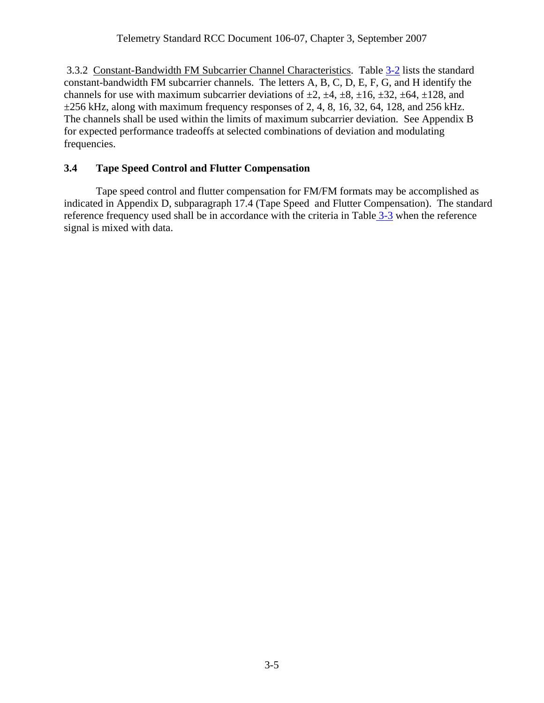<span id="page-6-0"></span> 3.3.2 Constant-Bandwidth FM Subcarrier Channel Characteristics. Table [3-2](#page-7-0) lists the standard constant-bandwidth FM subcarrier channels. The letters A, B, C, D, E, F, G, and H identify the channels for use with maximum subcarrier deviations of  $\pm 2$ ,  $\pm 4$ ,  $\pm 8$ ,  $\pm 16$ ,  $\pm 32$ ,  $\pm 64$ ,  $\pm 128$ , and ±256 kHz, along with maximum frequency responses of 2, 4, 8, 16, 32, 64, 128, and 256 kHz. The channels shall be used within the limits of maximum subcarrier deviation. See Appendix B for expected performance tradeoffs at selected combinations of deviation and modulating frequencies.

# **3.4 Tape Speed Control and Flutter Compensation**

 Tape speed control and flutter compensation for FM/FM formats may be accomplished as indicated in Appendix D, subparagraph 17.4 (Tape Speed and Flutter Compensation). The standard reference frequency used shall be in accordance with the criteria in Tabl[e 3-3](#page-8-0) when the reference signal is mixed with data.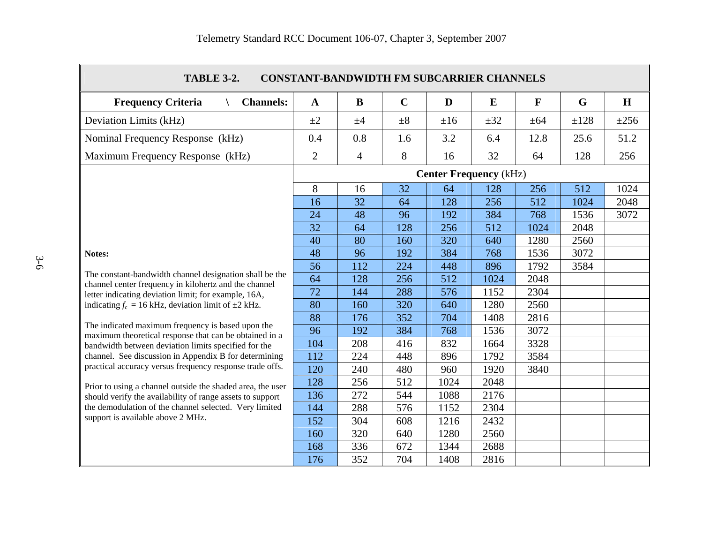<span id="page-7-0"></span>

| <b>TABLE 3-2.</b><br><b>CONSTANT-BANDWIDTH FM SUBCARRIER CHANNELS</b> |                |                |             |      |                               |             |      |           |
|-----------------------------------------------------------------------|----------------|----------------|-------------|------|-------------------------------|-------------|------|-----------|
| <b>Frequency Criteria</b><br><b>Channels:</b>                         | $\mathbf{A}$   | B              | $\mathbf C$ | D    | E                             | $\mathbf F$ | G    | H         |
| Deviation Limits (kHz)                                                | $\pm 2$        | ±4             | $\pm 8$     | ±16  | $\pm 32$                      | ±64         | ±128 | $\pm 256$ |
| Nominal Frequency Response (kHz)                                      | 0.4            | 0.8            | 1.6         | 3.2  | 6.4                           | 12.8        | 25.6 | 51.2      |
| Maximum Frequency Response (kHz)                                      | $\overline{2}$ | $\overline{4}$ | 8           | 16   | 32                            | 64          | 128  | 256       |
|                                                                       |                |                |             |      | <b>Center Frequency (kHz)</b> |             |      |           |
|                                                                       | 8              | 16             | 32          | 64   | 128                           | 256         | 512  | 1024      |
|                                                                       | 16             | 32             | 64          | 128  | 256                           | 512         | 1024 | 2048      |
|                                                                       | 24             | 48             | 96          | 192  | 384                           | 768         | 1536 | 3072      |
|                                                                       | 32             | 64             | 128         | 256  | 512                           | 1024        | 2048 |           |
|                                                                       | 40             | 80             | 160         | 320  | 640                           | 1280        | 2560 |           |
| Notes:                                                                | 48             | 96             | 192         | 384  | 768                           | 1536        | 3072 |           |
| The constant-bandwidth channel designation shall be the               | 56             | 112            | 224         | 448  | 896                           | 1792        | 3584 |           |
| channel center frequency in kilohertz and the channel                 | 64             | 128            | 256         | 512  | 1024                          | 2048        |      |           |
| letter indicating deviation limit; for example, 16A,                  | 72             | 144            | 288         | 576  | 1152                          | 2304        |      |           |
| indicating $f_c = 16$ kHz, deviation limit of $\pm 2$ kHz.            | 80             | 160            | 320         | 640  | 1280                          | 2560        |      |           |
| The indicated maximum frequency is based upon the                     | 88             | 176            | 352         | 704  | 1408                          | 2816        |      |           |
| maximum theoretical response that can be obtained in a                | 96             | 192            | 384         | 768  | 1536                          | 3072        |      |           |
| bandwidth between deviation limits specified for the                  | 104            | 208            | 416         | 832  | 1664                          | 3328        |      |           |
| channel. See discussion in Appendix B for determining                 | 112            | 224            | 448         | 896  | 1792                          | 3584        |      |           |
| practical accuracy versus frequency response trade offs.              | 120            | 240            | 480         | 960  | 1920                          | 3840        |      |           |
| Prior to using a channel outside the shaded area, the user            | 128            | 256            | 512         | 1024 | 2048                          |             |      |           |
| should verify the availability of range assets to support             | 136            | 272            | 544         | 1088 | 2176                          |             |      |           |
| the demodulation of the channel selected. Very limited                | 144            | 288            | 576         | 1152 | 2304                          |             |      |           |
| support is available above 2 MHz.                                     | 152            | 304            | 608         | 1216 | 2432                          |             |      |           |
|                                                                       | 160            | 320            | 640         | 1280 | 2560                          |             |      |           |
|                                                                       | 168            | 336            | 672         | 1344 | 2688                          |             |      |           |
|                                                                       | 176            | 352            | 704         | 1408 | 2816                          |             |      |           |